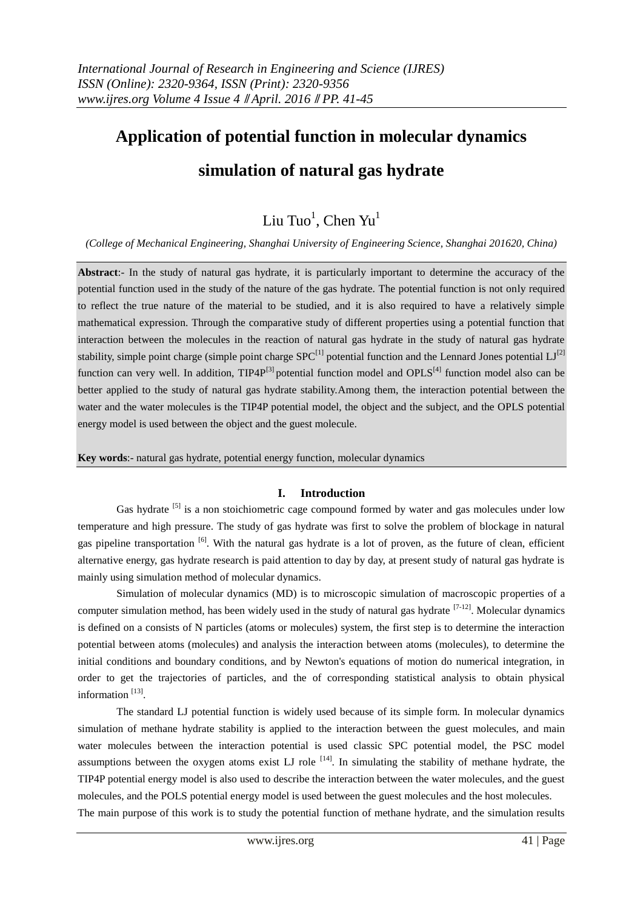# **Application of potential function in molecular dynamics simulation of natural gas hydrate**

# $\rm Liu$   $\rm Two^1$ ,  $\rm Chen$   $\rm Yu^1$

*(College of Mechanical Engineering, Shanghai University of Engineering Science, Shanghai 201620, China)*

**Abstract**:- In the study of natural gas hydrate, it is particularly important to determine the accuracy of the potential function used in the study of the nature of the gas hydrate. The potential function is not only required to reflect the true nature of the material to be studied, and it is also required to have a relatively simple mathematical expression. Through the comparative study of different properties using a potential function that interaction between the molecules in the reaction of natural gas hydrate in the study of natural gas hydrate stability, simple point charge (simple point charge  $SPC^{[1]}$  potential function and the Lennard Jones potential  $LI^{[2]}$ function can very well. In addition,  $TIP4P^{[3]}$  potential function model and OPLS<sup>[4]</sup> function model also can be better applied to the study of natural gas hydrate stability.Among them, the interaction potential between the water and the water molecules is the TIP4P potential model, the object and the subject, and the OPLS potential energy model is used between the object and the guest molecule.

**Key words**:- natural gas hydrate, potential energy function, molecular dynamics

#### **I. Introduction**

Gas hydrate <sup>[5]</sup> is a non stoichiometric cage compound formed by water and gas molecules under low temperature and high pressure. The study of gas hydrate was first to solve the problem of blockage in natural gas pipeline transportation <sup>[6]</sup>. With the natural gas hydrate is a lot of proven, as the future of clean, efficient alternative energy, gas hydrate research is paid attention to day by day, at present study of natural gas hydrate is mainly using simulation method of molecular dynamics.

Simulation of molecular dynamics (MD) is to microscopic simulation of macroscopic properties of a computer simulation method, has been widely used in the study of natural gas hydrate  $[7-12]$ . Molecular dynamics is defined on a consists of N particles (atoms or molecules) system, the first step is to determine the interaction potential between atoms (molecules) and analysis the interaction between atoms (molecules), to determine the initial conditions and boundary conditions, and by Newton's equations of motion do numerical integration, in order to get the trajectories of particles, and the of corresponding statistical analysis to obtain physical information<sup>[13]</sup>.

The standard LJ potential function is widely used because of its simple form. In molecular dynamics simulation of methane hydrate stability is applied to the interaction between the guest molecules, and main water molecules between the interaction potential is used classic SPC potential model, the PSC model assumptions between the oxygen atoms exist LJ role  $[14]$ . In simulating the stability of methane hydrate, the TIP4P potential energy model is also used to describe the interaction between the water molecules, and the guest molecules, and the POLS potential energy model is used between the guest molecules and the host molecules.

The main purpose of this work is to study the potential function of methane hydrate, and the simulation results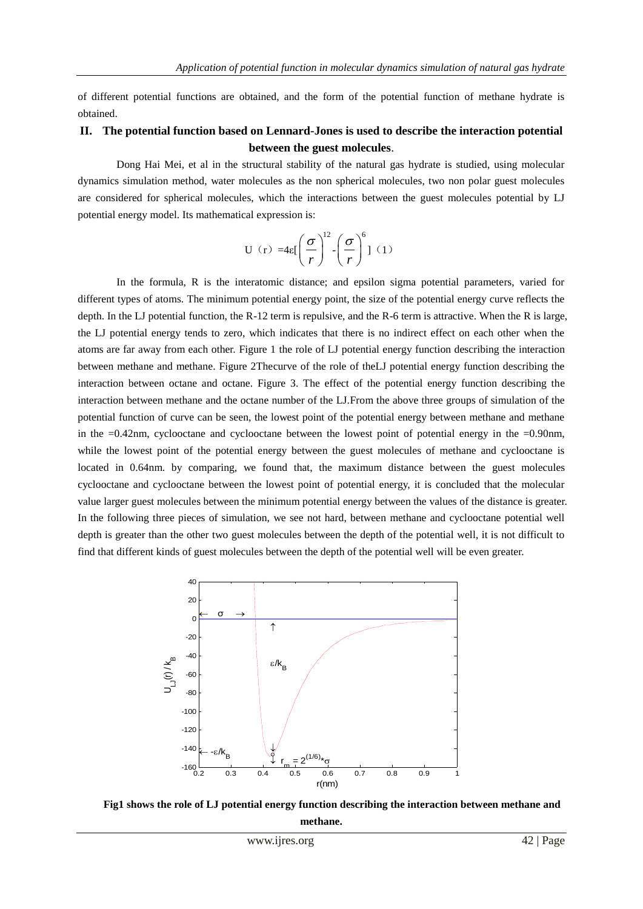of different potential functions are obtained, and the form of the potential function of methane hydrate is obtained.

## **II. The potential function based on Lennard-Jones is used to describe the interaction potential between the guest molecules**.

Dong Hai Mei, et al in the structural stability of the natural gas hydrate is studied, using molecular dynamics simulation method, water molecules as the non spherical molecules, two non polar guest molecules are considered for spherical molecules, which the interactions between the guest molecules potential by LJ potential energy model. Its mathematical expression is:

$$
U(r) = 4\varepsilon \left[ \left( \frac{\sigma}{r} \right)^{12} - \left( \frac{\sigma}{r} \right)^{6} \right] (1)
$$

In the formula, R is the interatomic distance; and epsilon sigma potential parameters, varied for different types of atoms. The minimum potential energy point, the size of the potential energy curve reflects the depth. In the LJ potential function, the R-12 term is repulsive, and the R-6 term is attractive. When the R is large, the LJ potential energy tends to zero, which indicates that there is no indirect effect on each other when the atoms are far away from each other. Figure 1 the role of LJ potential energy function describing the interaction between methane and methane. Figure 2Thecurve of the role of theLJ potential energy function describing the interaction between octane and octane. Figure 3. The effect of the potential energy function describing the interaction between methane and the octane number of the LJ.From the above three groups of simulation of the potential function of curve can be seen, the lowest point of the potential energy between methane and methane in the  $=0.42$ nm, cyclooctane and cyclooctane between the lowest point of potential energy in the  $=0.90$ nm, while the lowest point of the potential energy between the guest molecules of methane and cyclooctane is located in 0.64nm. by comparing, we found that, the maximum distance between the guest molecules cyclooctane and cyclooctane between the lowest point of potential energy, it is concluded that the molecular value larger guest molecules between the minimum potential energy between the values of the distance is greater. In the following three pieces of simulation, we see not hard, between methane and cyclooctane potential well depth is greater than the other two guest molecules between the depth of the potential well, it is not difficult to find that different kinds of guest molecules between the depth of the potential well will be even greater.



**Fig1 shows the role of LJ potential energy function describing the interaction between methane and methane.**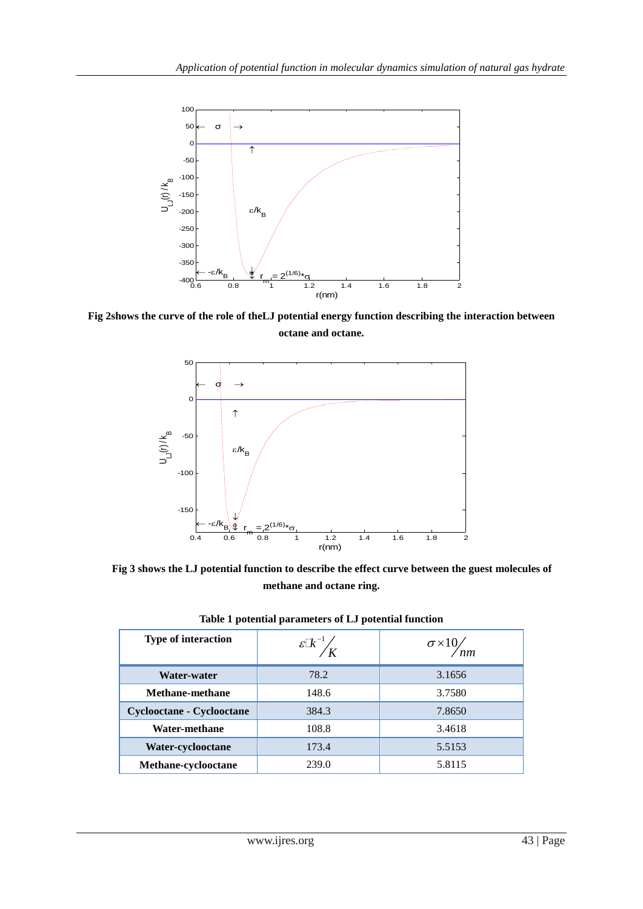

**Fig 2shows the curve of the role of theLJ potential energy function describing the interaction between octane and octane.**



**Fig 3 shows the LJ potential function to describe the effect curve between the guest molecules of methane and octane ring.**

|                            | л.                                          |                           |
|----------------------------|---------------------------------------------|---------------------------|
| <b>Type of interaction</b> | $\mathscr{E} \mathbb{R}^{-1} / \mathscr{E}$ | $\sigma \times 10/$<br>nm |
| Water-water                | 78.2                                        | 3.1656                    |
| <b>Methane-methane</b>     | 148.6                                       | 3.7580                    |
| Cyclooctane - Cyclooctane  | 384.3                                       | 7.8650                    |
| Water-methane              | 108.8                                       | 3.4618                    |
| Water-cyclooctane          | 173.4                                       | 5.5153                    |
| Methane-cyclooctane        | 239.0                                       | 5.8115                    |

| Table 1 potential parameters of LJ potential function |
|-------------------------------------------------------|
|-------------------------------------------------------|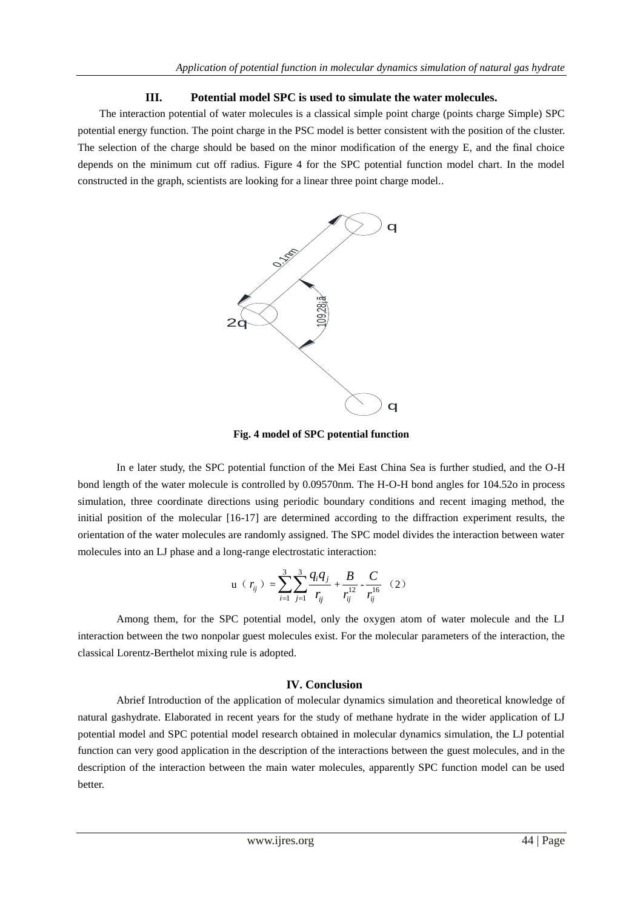## **III. Potential model SPC is used to simulate the water molecules.**

The interaction potential of water molecules is a classical simple point charge (points charge Simple) SPC potential energy function. The point charge in the PSC model is better consistent with the position of the cluster. The selection of the charge should be based on the minor modification of the energy E, and the final choice depends on the minimum cut off radius. Figure 4 for the SPC potential function model chart. In the model constructed in the graph, scientists are looking for a linear three point charge model..



**Fig. 4 model of SPC potential function**

In e later study, the SPC potential function of the Mei East China Sea is further studied, and the O-H bond length of the water molecule is controlled by 0.09570nm. The H-O-H bond angles for 104.52o in process simulation, three coordinate directions using periodic boundary conditions and recent imaging method, the initial position of the molecular [16-17] are determined according to the diffraction experiment results, the orientation of the water molecules are randomly assigned. The SPC model divides the interaction between water molecules into an LJ phase and a long-range electrostatic interaction:

$$
\mathbf{u} \, \left( \, r_{ij} \, \right) \, = \sum_{i=1}^{3} \sum_{j=1}^{3} \frac{q_i q_j}{r_{ij}} + \frac{B}{r_{ij}^{12}} - \frac{C}{r_{ij}^{16}} \quad (2)
$$

Among them, for the SPC potential model, only the oxygen atom of water molecule and the LJ interaction between the two nonpolar guest molecules exist. For the molecular parameters of the interaction, the classical Lorentz-Berthelot mixing rule is adopted.

#### **IV. Conclusion**

Abrief Introduction of the application of molecular dynamics simulation and theoretical knowledge of natural gashydrate. Elaborated in recent years for the study of methane hydrate in the wider application of LJ potential model and SPC potential model research obtained in molecular dynamics simulation, the LJ potential function can very good application in the description of the interactions between the guest molecules, and in the description of the interaction between the main water molecules, apparently SPC function model can be used better.